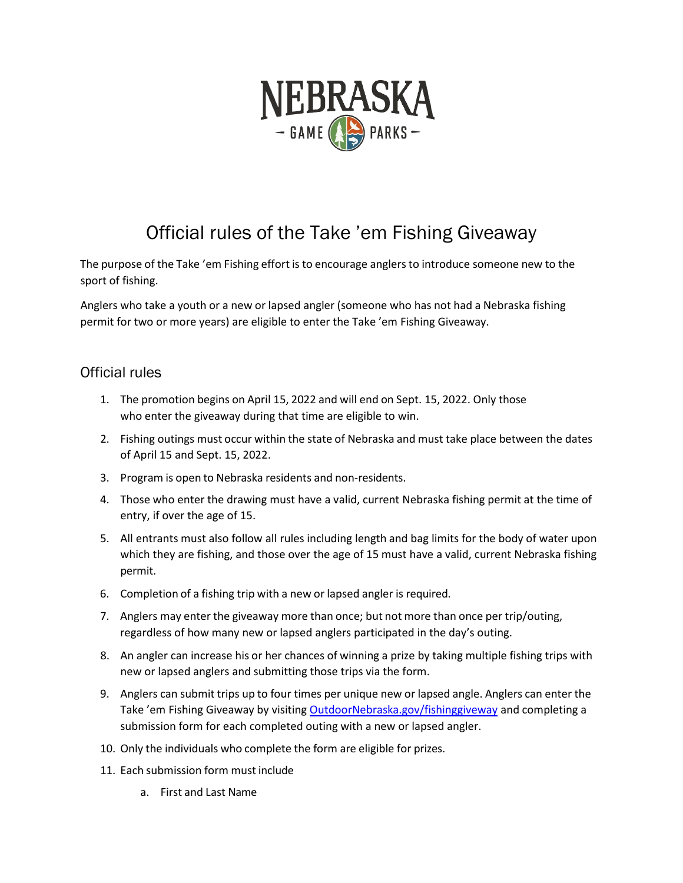

## Official rules of the Take 'em Fishing Giveaway

The purpose of the Take 'em Fishing effort is to encourage anglersto introduce someone new to the sport of fishing.

Anglers who take a youth or a new or lapsed angler (someone who has not had a Nebraska fishing permit for two or more years) are eligible to enter the Take 'em Fishing Giveaway.

## Official rules

- 1. The promotion begins on April 15, 2022 and will end on Sept. 15, 2022. Only those who enter the giveaway during that time are eligible to win.
- 2. Fishing outings must occur within the state of Nebraska and must take place between the dates of April 15 and Sept. 15, 2022.
- 3. Program is open to Nebraska residents and non-residents.
- 4. Those who enter the drawing must have a valid, current Nebraska fishing permit at the time of entry, if over the age of 15.
- 5. All entrants must also follow all rules including length and bag limits for the body of water upon which they are fishing, and those over the age of 15 must have a valid, current Nebraska fishing permit.
- 6. Completion of a fishing trip with a new or lapsed angler is required.
- 7. Anglers may enter the giveaway more than once; but not more than once per trip/outing, regardless of how many new or lapsed anglers participated in the day's outing.
- 8. An angler can increase his or her chances of winning a prize by taking multiple fishing trips with new or lapsed anglers and submitting those trips via the form.
- 9. Anglers can submit trips up to four times per unique new or lapsed angle. Anglers can enter the Take 'em Fishing Giveaway by visitin[g OutdoorNebraska.gov/fishinggiveway](http://outdoornebraska.gov/fishinggiveaway/) and completing a submission form for each completed outing with a new or lapsed angler.
- 10. Only the individuals who complete the form are eligible for prizes.
- 11. Each submission form must include
	- a. First and Last Name